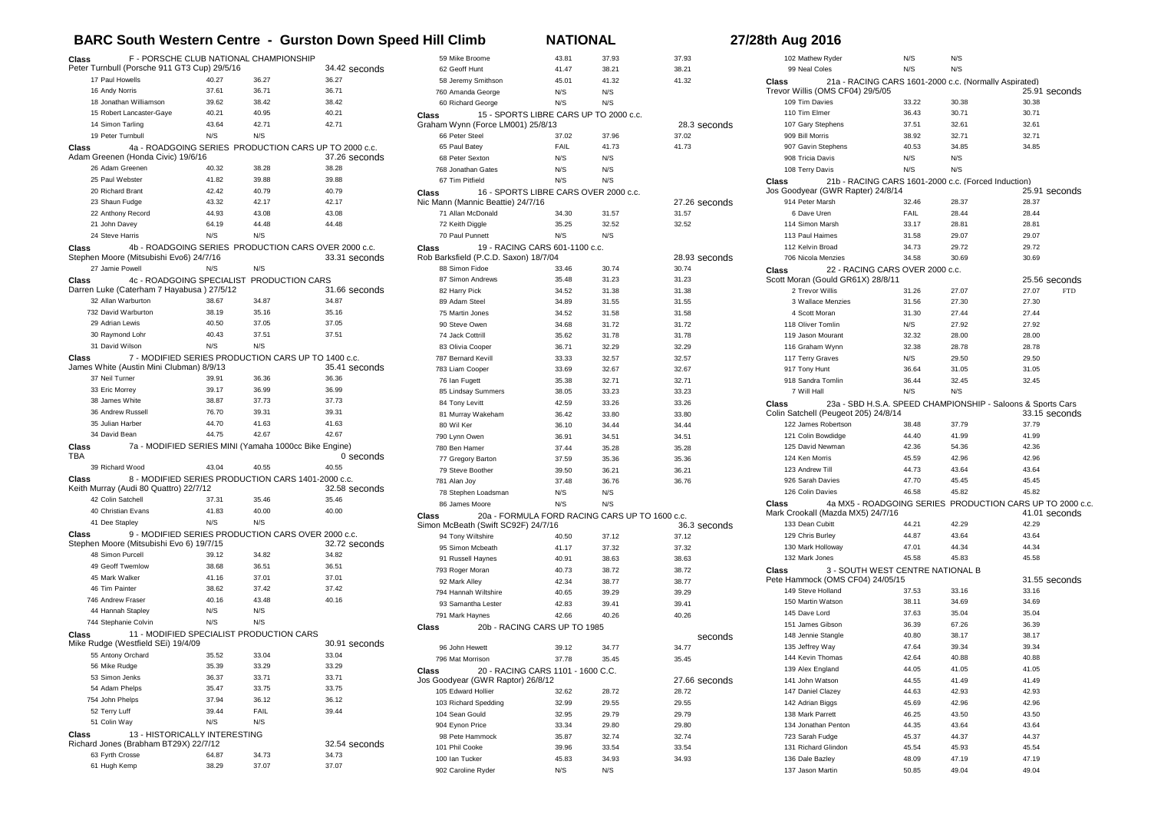## **BARC South Western Centre - Gurston Down Speed Hill Climb NATIONAL 27/28th Aug 2016**

28.3 seconds

27.26 seconds

28.93 seconds

36.3 seconds

seconds

27.66 seconds

| Class                                                   |                               | F - PORSCHE CLUB NATIONAL CHAMPIONSHIP                |                                                       | 59 Mike Broome                        | 43.81                                  | 37.93                                          | 37.93 |
|---------------------------------------------------------|-------------------------------|-------------------------------------------------------|-------------------------------------------------------|---------------------------------------|----------------------------------------|------------------------------------------------|-------|
| Peter Turnbull (Porsche 911 GT3 Cup) 29/5/16            |                               |                                                       | 34.42 seconds                                         | 62 Geoff Hunt                         | 41.47                                  | 38.21                                          | 38.21 |
| 17 Paul Howells                                         | 40.27                         | 36.27                                                 | 36.27                                                 | 58 Jeremy Smithson                    | 45.01                                  | 41.32                                          | 41.32 |
| 16 Andy Norris                                          | 37.61                         | 36.71                                                 | 36.71                                                 | 760 Amanda George                     | N/S                                    | N/S                                            |       |
| 18 Jonathan Williamson                                  | 39.62                         | 38.42                                                 | 38.42                                                 | 60 Richard George                     | N/S                                    | N/S                                            |       |
| 15 Robert Lancaster-Gaye                                | 40.21                         | 40.95                                                 | 40.21                                                 | Class                                 | 15 - SPORTS LIBRE CARS UP TO 2000 c.c. |                                                |       |
| 14 Simon Tarling                                        | 43.64                         | 42.71                                                 | 42.71                                                 | Graham Wynn (Force LM001) 25/8/13     |                                        |                                                | 28.3  |
| 19 Peter Turnbull                                       | N/S                           | N/S                                                   |                                                       | 66 Peter Steel                        | 37.02                                  | 37.96                                          | 37.02 |
| Class                                                   |                               |                                                       | 4a - ROADGOING SERIES PRODUCTION CARS UP TO 2000 c.c. | 65 Paul Batey                         | FAIL                                   | 41.73                                          | 41.73 |
| Adam Greenen (Honda Civic) 19/6/16                      |                               |                                                       | 37.26 seconds                                         | 68 Peter Sexton                       | N/S                                    | N/S                                            |       |
| 26 Adam Greenen                                         | 40.32                         | 38.28                                                 | 38.28                                                 | 768 Jonathan Gates                    | N/S                                    | N/S                                            |       |
| 25 Paul Webster                                         | 41.82                         | 39.88                                                 | 39.88                                                 | 67 Tim Pitfield                       | N/S                                    | N/S                                            |       |
| 20 Richard Brant                                        | 42.42                         | 40.79                                                 | 40.79                                                 | <b>Class</b>                          | 16 - SPORTS LIBRE CARS OVER 2000 c.c.  |                                                |       |
| 23 Shaun Fudge                                          | 43.32                         | 42.17                                                 | 42.17                                                 | Nic Mann (Mannic Beattie) 24/7/16     |                                        |                                                | 27.26 |
| 22 Anthony Record                                       | 44.93                         | 43.08                                                 | 43.08                                                 | 71 Allan McDonald                     | 34.30                                  | 31.57                                          | 31.57 |
| 21 John Davey                                           | 64.19                         | 44.48                                                 | 44.48                                                 | 72 Keith Diggle                       | 35.25                                  | 32.52                                          | 32.52 |
| 24 Steve Harris                                         | N/S                           | N/S                                                   |                                                       | 70 Paul Punnett                       | N/S                                    | N/S                                            |       |
| Class                                                   |                               |                                                       | 4b - ROADGOING SERIES PRODUCTION CARS OVER 2000 c.c.  | <b>Class</b>                          | 19 - RACING CARS 601-1100 c.c.         |                                                |       |
| Stephen Moore (Mitsubishi Evo6) 24/7/16                 |                               |                                                       | 33.31 seconds                                         | Rob Barksfield (P.C.D. Saxon) 18/7/04 |                                        |                                                | 28.93 |
| 27 Jamie Powell                                         | N/S                           | N/S                                                   |                                                       | 88 Simon Fidoe                        | 33.46                                  | 30.74                                          | 30.74 |
| Class                                                   | 4c - ROADGOING SPECIALIST     | PRODUCTION CARS                                       |                                                       | 87 Simon Andrews                      | 35.48                                  | 31.23                                          | 31.23 |
| Darren Luke (Caterham 7 Hayabusa) 27/5/12               |                               |                                                       | 31.66 seconds                                         | 82 Harry Pick                         | 34.52                                  | 31.38                                          | 31.38 |
| 32 Allan Warburton                                      | 38.67                         | 34.87                                                 | 34.87                                                 | 89 Adam Steel                         | 34.89                                  | 31.55                                          | 31.55 |
| 732 David Warburton                                     | 38.19                         | 35.16                                                 | 35.16                                                 | 75 Martin Jones                       | 34.52                                  | 31.58                                          | 31.58 |
| 29 Adrian Lewis                                         | 40.50                         | 37.05                                                 | 37.05                                                 | 90 Steve Owen                         | 34.68                                  | 31.72                                          | 31.72 |
| 30 Raymond Lohr                                         | 40.43                         | 37.51                                                 | 37.51                                                 | 74 Jack Cottrill                      | 35.62                                  | 31.78                                          | 31.78 |
| 31 David Wilson                                         | N/S                           | N/S                                                   |                                                       | 83 Olivia Cooper                      | 36.71                                  | 32.29                                          | 32.29 |
| Class                                                   |                               | 7 - MODIFIED SERIES PRODUCTION CARS UP TO 1400 c.c.   |                                                       | 787 Bernard Kevill                    | 33.33                                  | 32.57                                          | 32.57 |
| James White (Austin Mini Clubman) 8/9/13                |                               |                                                       | 35.41 seconds                                         | 783 Liam Cooper                       | 33.69                                  | 32.67                                          | 32.67 |
| 37 Neil Turner                                          | 39.91                         | 36.36                                                 | 36.36                                                 | 76 Ian Fugett                         | 35.38                                  | 32.71                                          | 32.71 |
| 33 Eric Morrey                                          | 39.17                         | 36.99                                                 | 36.99                                                 | 85 Lindsay Summers                    | 38.05                                  | 33.23                                          | 33.23 |
| 38 James White                                          | 38.87                         | 37.73                                                 | 37.73                                                 | 84 Tony Levitt                        | 42.59                                  | 33.26                                          | 33.26 |
| 36 Andrew Russell                                       | 76.70                         | 39.31                                                 | 39.31                                                 | 81 Murray Wakeham                     | 36.42                                  | 33.80                                          | 33.80 |
| 35 Julian Harber                                        | 44.70                         | 41.63                                                 | 41.63                                                 | 80 Wil Ker                            |                                        |                                                |       |
| 34 David Bean                                           | 44.75                         | 42.67                                                 | 42.67                                                 |                                       | 36.10                                  | 34.44                                          | 34.44 |
| Class                                                   |                               | 7a - MODIFIED SERIES MINI (Yamaha 1000cc Bike Engine) |                                                       | 790 Lynn Owen                         | 36.91                                  | 34.51                                          | 34.51 |
| TBA                                                     |                               |                                                       | 0 seconds                                             | 780 Ben Hamer                         | 37.44                                  | 35.28                                          | 35.28 |
| 39 Richard Wood                                         | 43.04                         | 40.55                                                 | 40.55                                                 | 77 Gregory Barton                     | 37.59                                  | 35.36                                          | 35.36 |
| Class                                                   |                               | 8 - MODIFIED SERIES PRODUCTION CARS 1401-2000 c.c.    |                                                       | 79 Steve Boother                      | 39.50                                  | 36.21                                          | 36.21 |
| Keith Murray (Audi 80 Quattro) 22/7/12                  |                               |                                                       | 32.58 seconds                                         | 781 Alan Joy                          | 37.48                                  | 36.76                                          | 36.76 |
| 42 Colin Satchell                                       | 37.31                         | 35.46                                                 | 35.46                                                 | 78 Stephen Loadsman                   | N/S                                    | N/S                                            |       |
| 40 Christian Evans                                      | 41.83                         | 40.00                                                 | 40.00                                                 | 86 James Moore                        | N/S                                    | N/S                                            |       |
| 41 Dee Stapley                                          | N/S                           | N/S                                                   |                                                       | Class                                 |                                        | 20a - FORMULA FORD RACING CARS UP TO 1600 c.c. |       |
|                                                         |                               |                                                       |                                                       | Simon McBeath (Swift SC92F) 24/7/16   |                                        |                                                | 36.3  |
| Class<br>Stephen Moore (Mitsubishi Evo 6) 19/7/15       |                               | 9 - MODIFIED SERIES PRODUCTION CARS OVER 2000 c.c.    | 32.72 seconds                                         | 94 Tony Wiltshire                     | 40.50                                  | 37.12                                          | 37.12 |
| 48 Simon Purcell                                        | 39.12                         | 34.82                                                 | 34.82                                                 | 95 Simon Mcbeath                      | 41.17                                  | 37.32                                          | 37.32 |
| 49 Geoff Twemlow                                        | 38.68                         | 36.51                                                 | 36.51                                                 | 91 Russell Haynes                     | 40.91                                  | 38.63                                          | 38.63 |
| 45 Mark Walker                                          | 41.16                         | 37.01                                                 | 37.01                                                 | 793 Roger Moran                       | 40.73                                  | 38.72                                          | 38.72 |
| 46 Tim Painter                                          | 38.62                         | 37.42                                                 | 37.42                                                 | 92 Mark Alley                         | 42.34                                  | 38.77                                          | 38.77 |
|                                                         |                               |                                                       |                                                       | 794 Hannah Wiltshire                  | 40.65                                  | 39.29                                          | 39.29 |
| 746 Andrew Fraser                                       | 40.16<br>N/S                  | 43.48<br>N/S                                          | 40.16                                                 | 93 Samantha Lester                    | 42.83                                  | 39.41                                          | 39.41 |
| 44 Hannah Stapley                                       |                               |                                                       |                                                       | 791 Mark Haynes                       | 42.66                                  | 40.26                                          | 40.26 |
| 744 Stephanie Colvin                                    | N/S                           | N/S                                                   |                                                       | Class                                 | 20b - RACING CARS UP TO 1985           |                                                |       |
| Class                                                   |                               | 11 - MODIFIED SPECIALIST PRODUCTION CARS              |                                                       |                                       |                                        |                                                |       |
| Mike Rudge (Westfield SEi) 19/4/09<br>55 Antony Orchard |                               |                                                       | 30.91 seconds<br>33.04                                | 96 John Hewett                        | 39.12                                  | 34.77                                          | 34.77 |
|                                                         | 35.52                         | 33.04                                                 |                                                       | 796 Mat Morrison                      | 37.78                                  | 35.45                                          | 35.45 |
| 56 Mike Rudge                                           | 35.39                         | 33.29                                                 | 33.29                                                 | Class                                 | 20 - RACING CARS 1101 - 1600 C.C.      |                                                |       |
| 53 Simon Jenks                                          | 36.37                         | 33.71                                                 | 33.71                                                 | Jos Goodyear (GWR Raptor) 26/8/12     |                                        |                                                | 27.66 |
| 54 Adam Phelps                                          | 35.47                         | 33.75                                                 | 33.75                                                 | 105 Edward Hollier                    | 32.62                                  | 28.72                                          | 28.72 |
| 754 John Phelps                                         | 37.94                         | 36.12                                                 | 36.12                                                 | 103 Richard Spedding                  | 32.99                                  | 29.55                                          | 29.55 |
| 52 Terry Luff                                           | 39.44                         | FAIL                                                  | 39.44                                                 | 104 Sean Gould                        | 32.95                                  | 29.79                                          | 29.79 |
| 51 Colin Way                                            | N/S                           | N/S                                                   |                                                       | 904 Eynon Price                       | 33.34                                  | 29.80                                          | 29.80 |
| Class                                                   | 13 - HISTORICALLY INTERESTING |                                                       |                                                       | 98 Pete Hammock                       | 35.87                                  | 32.74                                          | 32.74 |
| Richard Jones (Brabham BT29X) 22/7/12                   |                               |                                                       | 32.54 seconds                                         | 101 Phil Cooke                        | 39.96                                  | 33.54                                          | 33.54 |
| 63 Fyrth Crosse                                         | 64.87                         | 34.73                                                 | 34.73                                                 | 100 Ian Tucker                        | 45.83                                  | 34.93                                          | 34.93 |
| 61 Hugh Kemp                                            | 38.29                         | 37.07                                                 | 37.07                                                 | 902 Caroline Ryder                    | N/S                                    | N/S                                            |       |

## 25.91 seconds **Class** 21a - RACING CARS 1601-2000 c.c. (Normally Aspirated) Trevor Willis (OMS CF04) 29/5/05 Tim Davies 33.22 30.38 30.38 Tim Elmer 36.43 30.71 30.71 Gary Stephens 37.51 32.61 32.61 Bill Morris 38.92 32.71 32.71 Gavin Stephens 40.53 34.85 34.85 908 Tricia Davis N/S N/S N/S 108 Terry Davis N/S N/S N/S  $25.91$  seconds **Class** 21b - RACING CARS 1601-2000 c.c. (Forced Induction) Jos Goodyear (GWR Rapter) 24/8/14 Peter Marsh 32.46 28.37 28.37 Dave Uren FAIL 28.44 28.44 Simon Marsh 33.17 28.81 28.81 Paul Haimes 31.58 29.07 29.07 Kelvin Broad 34.73 29.72 29.72 Nicola Menzies 34.58 30.69 30.69 25.56 seconds<br>27.07 FTD **Class** 22 - RACING CARS OVER 2000 c.c. Scott Moran (Gould GR61X) 28/8/11 2 Trevor Willis 27.07 27.07 27.07 Wallace Menzies 31.56 27.30 27.30 Scott Moran 31.30 27.44 27.44 118 Oliver Tomlin N/S 27.92 27.92 Jason Mourant 32.32 28.00 28.00 Graham Wynn 32.38 28.78 28.78 117 Terry Graves N/S 29.50 29.50 Tony Hunt 36.64 31.05 31.05 Sandra Tomlin 36.44 32.45 32.45 7 Will Hall N/S N/S N/S 33.15 seconds **Class** 23a - SBD H.S.A. SPEED CHAMPIONSHIP - Saloons & Sports Cars Colin Satchell (Peugeot 205) 24/8/14 James Robertson 38.48 37.79 37.79 121 Colin Bowdidge **44.40** 41.99 41.99 David Newman 42.36 54.36 42.36 Ken Morris 45.59 42.96 42.96 123 Andrew Till 44.73 43.64 43.64 Sarah Davies 47.70 45.45 45.45 Colin Davies 46.58 45.82 45.82 41.01 seconds **Class** 4a MX5 - ROADGOING SERIES PRODUCTION CARS UP TO 2000 c.c. Mark Crookall (Mazda MX5) 24/7/16 133 Dean Cubitt **44.21** 42.29 42.29 129 Chris Burley **44.87** 43.64 43.64 130 Mark Holloway **47.01** 44.34 44.34 Mark Jones 45.58 45.83 45.58 31.55 seconds **Class** 3 - SOUTH WEST CENTRE NATIONAL B Pete Hammock (OMS CF04) 24/05/15 149 Steve Holland 37.53 33.16 33.16 Martin Watson 38.11 34.69 34.69 Dave Lord 37.63 35.04 35.04 James Gibson 36.39 67.26 36.39 Jennie Stangle 40.80 38.17 38.17 Jeffrey Way 47.64 39.34 39.34 Kevin Thomas 42.64 40.88 40.88 Alex England 44.05 41.05 41.05 141 John Watson **44.55** 41.49 41.49 Daniel Clazey 44.63 42.93 42.93 Adrian Biggs 45.69 42.96 42.96 138 Mark Parrett **46.25** 43.50 43.50 Jonathan Penton 44.35 43.64 43.64 Sarah Fudge 45.37 44.37 44.37 Richard Glindon 45.54 45.93 45.54

 Dale Bazley 48.09 47.19 47.19 Jason Martin 50.85 49.04 49.04

102 Mathew Ryder N/S N/S<br>99 Neal Coles N/S N/S N/S

99 Neal Coles